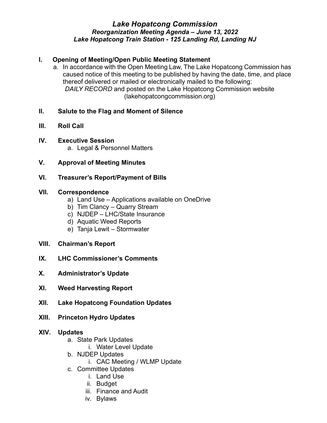# *Lake Hopatcong Commission Reorganization Meeting Agenda – June 13, 2022 Lake Hopatcong Train Station - 125 Landing Rd, Landing NJ*

# **I. Opening of Meeting/Open Public Meeting Statement**

a. In accordance with the Open Meeting Law, The Lake Hopatcong Commission has caused notice of this meeting to be published by having the date, time, and place thereof delivered or mailed or electronically mailed to the following: *DAILY RECORD* and posted on the Lake Hopatcong Commission website (lakehopatcongcommission.org)

# **II. Salute to the Flag and Moment of Silence**

- **III. Roll Call**
- **IV. Executive Session** a. Legal & Personnel Matters
- **V. Approval of Meeting Minutes**
- **VI. Treasurer's Report/Payment of Bills**

### **VII. Correspondence**

- a) Land Use Applications available on OneDrive
- b) Tim Clancy Quarry Stream
- c) NJDEP LHC/State Insurance
- d) Aquatic Weed Reports
- e) Tanja Lewit Stormwater
- **VIII. Chairman's Report**
- **IX. LHC Commissioner's Comments**
- **X. Administrator's Update**
- **XI. Weed Harvesting Report**
- **XII. Lake Hopatcong Foundation Updates**
- **XIII. Princeton Hydro Updates**

#### **XIV. Updates**

- a. State Park Updates
	- i. Water Level Update
- b. NJDEP Updates
	- i. CAC Meeting / WLMP Update
- c. Committee Updates
	- i. Land Use
	- ii. Budget
	- iii. Finance and Audit
	- iv. Bylaws